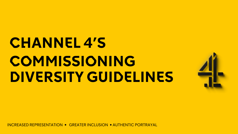# **CHANNEL 4'S COMMISSIONING DIVERSITY GUIDELINES**



INCREASED REPRESENTATION • GREATER INCLUSION • AUTHENTIC PORTRAYAL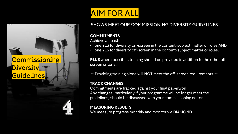## **Commissioning** Diversity\_ Guidelines

## AIM FOR ALL

## SHOWS MEET OUR COMMISSIONING DIVERSITY GUIDELINES

### **COMMITMENTS**

Achieve at least:

- one YES for diversity on-screen in the content/subject matter or roles AND
- one YES for diversity off-screen in the content/subject matter or roles.

**PLUS** where possible, training should be provided in addition to the other off screen criteria.

\*\* Providing training alone will **NOT** meet the off-screen requirements \*\*

### **TRACK CHANGES**

Commitments are tracked against your final paperwork. Any changes, particularly if your programme will no longer meet the guidelines, should be discussed with your commissioning editor.

### **MEASURING RESULTS**

We measure progress monthly and monitor via DIAMOND.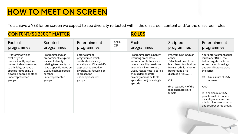## **COMMISSION SCREEN**

To achieve a YES for on screen we expect to see diversity reflected within the on screen content and/or the on screen roles.

## CONTENT/SUBJECT MATTER THE ROLL BROLES

| Factual                                                                                                                                                                                                     | Scripted                                                                                                                                                                                     | Entertainment                                                                                                                                                                               | AND/      | Factual                                                                                                                                                                                                                                                            | Scripted                                                                                                                                                                                                                          | Entertainment                                                                                                                                                                                                                                                                                                                             |
|-------------------------------------------------------------------------------------------------------------------------------------------------------------------------------------------------------------|----------------------------------------------------------------------------------------------------------------------------------------------------------------------------------------------|---------------------------------------------------------------------------------------------------------------------------------------------------------------------------------------------|-----------|--------------------------------------------------------------------------------------------------------------------------------------------------------------------------------------------------------------------------------------------------------------------|-----------------------------------------------------------------------------------------------------------------------------------------------------------------------------------------------------------------------------------|-------------------------------------------------------------------------------------------------------------------------------------------------------------------------------------------------------------------------------------------------------------------------------------------------------------------------------------------|
| programmes                                                                                                                                                                                                  | programmes                                                                                                                                                                                   | programmes                                                                                                                                                                                  | <b>OR</b> | programmes                                                                                                                                                                                                                                                         | programmes                                                                                                                                                                                                                        | programmes                                                                                                                                                                                                                                                                                                                                |
| Programmes which<br>explicitly and<br>predominantly explore<br>issues of identity relating<br>to ethnicity, or have a<br>specific focus on LGBT,<br>disabled people or other<br>underrepresented<br>groups. | Programmes which<br>predominantly explore<br>issues of identity<br>relating to ethnicity, or<br>have a specific focus on<br>LGBT, disabled people<br>or other<br>underrepresented<br>groups. | Entertainment<br>programmes which<br>celebrate inclusivity,<br>equality and Channel 4's<br>approach to creative<br>diversity, by focusing on<br>representing<br>underrepresented<br>groups. |           | Programmes prominently<br>featuring presenters<br>and/or contributors who<br>have a disability, are from<br>an ethnic minority or are<br>LGBT. Please note, a series<br>should demonstrate<br>diversity across multiple<br>episodes, not just a single<br>episode. | Programming in which<br>either:<br>(a) at least one of the<br>lead characters is either<br>from an ethnic minority<br>background or is<br>disabled or is LGBT.<br>OR<br>(b) at least 50% of the<br>lead characters are<br>female. | Your entertainment series<br>must meet BOTH the<br>below targets for its on<br>screen talent bookings<br>and contributors across<br>the series:<br>A minimum of 25%<br>(a)<br>women<br><b>AND</b><br>(b) a minimum of 15%<br>people are LGBT or are<br>disability or are from an<br>ethnic minority or another<br>underrepresented group. |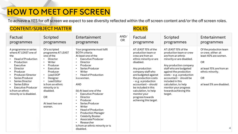## HOW TO MEET OFF SCREEN

To achieve a YES for off screen we expect to see diversity reflected within the off screen content and/or the off screen roles.

## CONTENT/SUBJECT MATTER **ROLES**

| Factual                                                                                                                                                                                                                                                                                         | Scripted                                                                                                                                                                                                                                                                               | Entertainment                                                                                                                                                                                                                                                                                                                                                                                                                                                                                          | AND/ | Factual                                                                                                                                                                                                                                                                                                                                                 | Scripted                                                                                                                                                                                                                                                                                                                                         | Entertainment                                                                                                                                                                     |
|-------------------------------------------------------------------------------------------------------------------------------------------------------------------------------------------------------------------------------------------------------------------------------------------------|----------------------------------------------------------------------------------------------------------------------------------------------------------------------------------------------------------------------------------------------------------------------------------------|--------------------------------------------------------------------------------------------------------------------------------------------------------------------------------------------------------------------------------------------------------------------------------------------------------------------------------------------------------------------------------------------------------------------------------------------------------------------------------------------------------|------|---------------------------------------------------------------------------------------------------------------------------------------------------------------------------------------------------------------------------------------------------------------------------------------------------------------------------------------------------------|--------------------------------------------------------------------------------------------------------------------------------------------------------------------------------------------------------------------------------------------------------------------------------------------------------------------------------------------------|-----------------------------------------------------------------------------------------------------------------------------------------------------------------------------------|
| programmes                                                                                                                                                                                                                                                                                      | programmes                                                                                                                                                                                                                                                                             | programmes                                                                                                                                                                                                                                                                                                                                                                                                                                                                                             | OR.  | programme                                                                                                                                                                                                                                                                                                                                               | programmes                                                                                                                                                                                                                                                                                                                                       | programmes                                                                                                                                                                        |
| A programme or series<br>where AT LEAST one of<br>the<br><b>Head of Production</b><br>Production<br>Executive<br>Director<br>Producer<br>Producer/Director<br>Series Producer<br>Series Director<br>Series Editor<br><b>Executive Producer</b><br>is from an ethnic<br>minority or is disabled. | Of a scripted<br>programme AT LEAST<br>one of the<br>Director<br>$\bullet$<br>Writer<br>٠<br>Producer<br>Executive<br>Producer<br>Lead DOP<br>$\bullet$<br>Designer<br>٠<br>Lead Editor<br>is from an ethnic<br>minority or is<br>disabled.<br><b>OR</b><br>At least two are<br>women. | Your programme must fulfil<br><b>BOTH</b> criteria:<br>At least one of the<br><b>Executive Producer</b><br>Director<br>Producer<br>Series Producer<br>Writer<br><b>Head of Production</b><br>is a woman.<br><b>AND</b><br>(b) At least one of the<br><b>Executive Producer</b><br>Director<br>Producer<br>Series Producer<br>Writer<br><b>Head of Production</b><br><b>Production Manager</b><br>Celebrity Booker<br>Associate Producer<br>Researcher<br>is from an ethnic minority or is<br>disabled. |      | AT LEAST 15% of the<br>production team or<br>crew are from an<br>ethnic minority or are<br>disabled.<br>Any production<br>company staff who<br>are budgeted against<br>the production costs<br>$-e.g. a production$<br>accountant - should<br>be included in this<br>calculation, to help<br>monitor your<br>progress towards<br>achieving this target. | AT LEAST 15% of the<br>production team or crew<br>are from an ethnic<br>minority or are disabled.<br>Any production company<br>staff who are budgeted<br>against the production<br>costs - e.g. a production<br>accountant - should be<br>included in this<br>calculation, to help<br>monitor your progress<br>towards achieving this<br>target. | Of the production team<br>or crew, either: at<br>least 40% are women.<br><b>OR</b><br>at least 15% are from an<br>ethnic minority.<br><b>OR</b><br>at least 5% are disabled.<br>4 |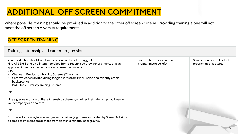## **ADDITIONAL OFF SCREEN COMMITMENT**

Where possible, training should be provided in addition to the other off screen criteria. Providing training alone will not meet the off screen diversity requirements.

### OFF SCREEN TRAINING

| Training, internship and career progression                                                                                                                                                                                                                                                                                                                                                                                                 |                                                        |                                                        |  |  |  |  |  |
|---------------------------------------------------------------------------------------------------------------------------------------------------------------------------------------------------------------------------------------------------------------------------------------------------------------------------------------------------------------------------------------------------------------------------------------------|--------------------------------------------------------|--------------------------------------------------------|--|--|--|--|--|
| Your production should aim to achieve one of the following goals:<br>Hire AT LEAST one paid intern, recruited from a recognised provider or undertaking an<br>approved industry scheme for underrepresented groups:<br>e.g.<br>Channel 4 Production Training Scheme (12 months)<br>Creative Access (with training for graduates from Black, Asian and minority ethnic<br>backgrounds)<br>PACT Indie Diversity Training Scheme.<br>$\bullet$ | Same criteria as for Factual<br>programmes (see left). | Same criteria as for Factual<br>programmes (see left). |  |  |  |  |  |
| OR                                                                                                                                                                                                                                                                                                                                                                                                                                          |                                                        |                                                        |  |  |  |  |  |
| Hire a graduate of one of these internship schemes, whether their internship had been with<br>your company or elsewhere.                                                                                                                                                                                                                                                                                                                    |                                                        |                                                        |  |  |  |  |  |
| OR                                                                                                                                                                                                                                                                                                                                                                                                                                          |                                                        |                                                        |  |  |  |  |  |
| Provide skills training from a recognised provider (e.g. those supported by ScreenSkills) for<br>disabled team members or those from an ethnic minority background.                                                                                                                                                                                                                                                                         |                                                        |                                                        |  |  |  |  |  |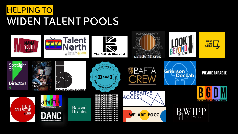

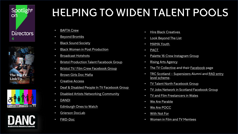







# HELPING TO WIDEN TALENT POOLS

- **[BAFTA Crew](http://www.bafta.org/supporting-talent/crew-directory-2019-20)**
- [Beyond Brontës](https://www.screenyorkshire.co.uk/news/beyond-brontes-selects-50-bright-new-screen-talents/)
- [Black Sound Society](https://www.blacksoundsociety.org/)
- [Black Women in Post Production](mailto:hello@bwipp.co.uk)
- [Broadcast Hotshots](https://www.broadcastnow.co.uk/hot-shots/11684.subject)
- [Bristol Production Talent Facebook Group](https://www.facebook.com/groups/1798794337052645)
- [Bristol TV/ Film Crew Facebook Group](https://www.facebook.com/groups/1471799506449355)
- [Brown Girls Doc Mafia](https://browngirlsdocmafia.com/members/recbYv5LWLBegoAay/)
- [Creative Access](https://creativeaccess.org.uk/)
- [Deaf & Disabled People In TV Facebook Group](mailto:deafanddisabledpeopleintv@gmail.com)
- [Disabled Artists Networking Community](mailto:digital.triplec@gmail.com)
- [DANDI](mailto:digital.triplec@gmail.com)
- [Edinburgh Ones to Watch](https://www.thetvfestival.com/talent-schemes/ones-to-watch/otw-alumni/)
- [Grierson](https://griersontrust.org/outreach/alumni/) DocLab
- [FWD-Doc](https://www.fwd-doc.org/)
- [Hire Black Creatives](http://www.mamayouth.org.uk/)
- [Look Beyond The List](https://www.lookbeyondthelist.com/)
- [MAMA Youth](https://www.hireblackcreatives.co/)
- [PACT](https://www.hireblackcreatives.co/)
- [Palette 16 Crew Instagram Group](https://www.instagram.com/palette_16_crew/?hl=en)
- [Rising Arts Agency](https://rising.org.uk/)
- [The TV Collective](https://www.thetvcollective.org/register/) and their [Facebook](https://www.facebook.com/TheTVCollective​) page
- [TRC Scotland](https://trcmedia.org/news/posts/2020/september/supersizer-2021-meet-the-delegates/)  Supersizers [Alumni and RAD entry](https://trcmedia.org/current-courses/previous-training/rad/) level scheme.
- [TV Talent North Facebook Group](https://www.facebook.com/groups/958623744555057)
- [TV Jobs Network in Scotland Facebook Group](https://www.facebook.com/groups/184884511532126/)
- [TV and Film Freelancers in Wales](https://www.facebook.com/groups/287095362690/)
- [We Are Parable](http://www.weareparable.com/)
- [We Are POCC](https://wearepocc.com/)
- [With Not For](https://www.linkedin.com/company/wnf-recruits/about/)
- [Women in Film and TV Mentees](https://wftv.org.uk/mentoring/)